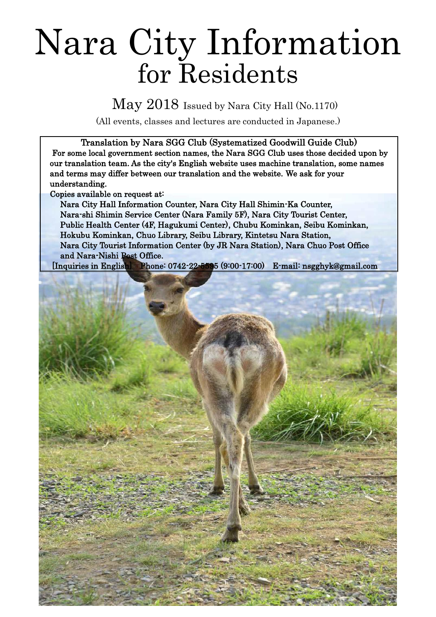# Nara City Information for Residents

May 2018 Issued by Nara City Hall (No.1170)

(All events, classes and lectures are conducted in Japanese.)

Translation by Nara SGG Club (Systematized Goodwill Guide Club) For some local government section names, the Nara SGG Club uses those decided upon by our translation team. As the city's English website uses machine translation, some names and terms may differ between our translation and the website. We ask for your understanding.

Copies available on request at:

Nara City Hall Information Counter, Nara City Hall Shimin-Ka Counter, Nara-shi Shimin Service Center (Nara Family 5F), Nara City Tourist Center, Public Health Center (4F, Hagukumi Center), Chubu Kominkan, Seibu Kominkan, Hokubu Kominkan, Chuo Library, Seibu Library, Kintetsu Nara Station, Nara City Tourist Information Center (by JR Nara Station), Nara Chuo Post Office and Nara-Nishi Post Office.

[Inquiries in English] Phone: 0742-22-5595 (9:00-17:00) E-mail: nsgghyk@gmail.com

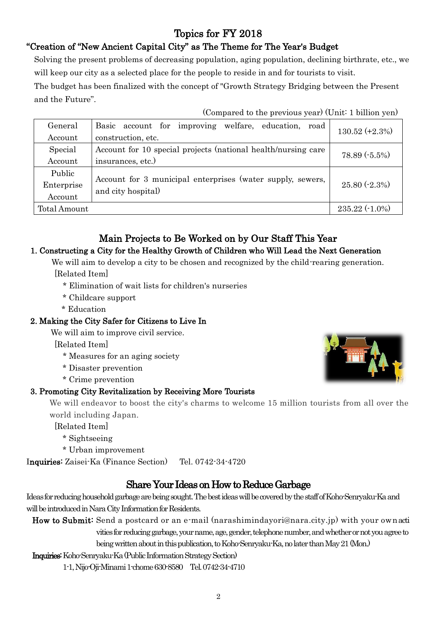# Topics for FY 2018

## "Creation of "New Ancient Capital City" as The Theme for The Year's Budget

Solving the present problems of decreasing population, aging population, declining birthrate, etc., we will keep our city as a selected place for the people to reside in and for tourists to visit.

The budget has been finalized with the concept of "Growth Strategy Bridging between the Present and the Future".

(Compared to the previous year) (Unit: 1 billion yen)

| General      | Basic account for improving welfare, education, road          | $130.52 (+2.3%)$ |
|--------------|---------------------------------------------------------------|------------------|
| Account      | construction, etc.                                            |                  |
| Special      | Account for 10 special projects (national health/nursing care | 78.89 (-5.5%)    |
| Account      | insurances, etc.)                                             |                  |
| Public       |                                                               |                  |
| Enterprise   | Account for 3 municipal enterprises (water supply, sewers,    | $25.80(-2.3%)$   |
| Account      | and city hospital)                                            |                  |
| Total Amount |                                                               | $235.22(-1.0\%)$ |

# Main Projects to Be Worked on by Our Staff This Year

#### 1. Constructing a City for the Healthy Growth of Children who Will Lead the Next Generation

We will aim to develop a city to be chosen and recognized by the child-rearing generation.

[Related Item]

- \* Elimination of wait lists for children's nurseries
- \* Childcare support
- \* Education

#### 2. Making the City Safer for Citizens to Live In

We will aim to improve civil service.

[Related Item]

- \* Measures for an aging society
- \* Disaster prevention
- \* Crime prevention

## 3. Promoting City Revitalization by Receiving More Tourists

We will endeavor to boost the city's charms to welcome 15 million tourists from all over the world including Japan.

[Related Item]

- \* Sightseeing
- \* Urban improvement

Inquiries: Zaisei-Ka (Finance Section) Tel. 0742-34-4720

## Share Your Ideas on How to Reduce Garbage

Ideas for reducing household garbage are being sought. The best ideas will be covered by the staff of Koho-Senryaku-Ka and will be introduced in Nara City Information for Residents.

How to Submit: Send a postcard or an e-mail (narashimindayori@nara.city.jp) with your ownacti vities for reducing garbage, your name, age, gender, telephone number, and whether or not you agree to being written about in this publication, to Koho-Senryaku-Ka, no later than May 21 (Mon.)

Inquiries:Koho-Senryaku-Ka (Public Information Strategy Section)

1-1, Nijo-Oji-Minami 1-chome 630-8580 Tel. 0742-34-4710

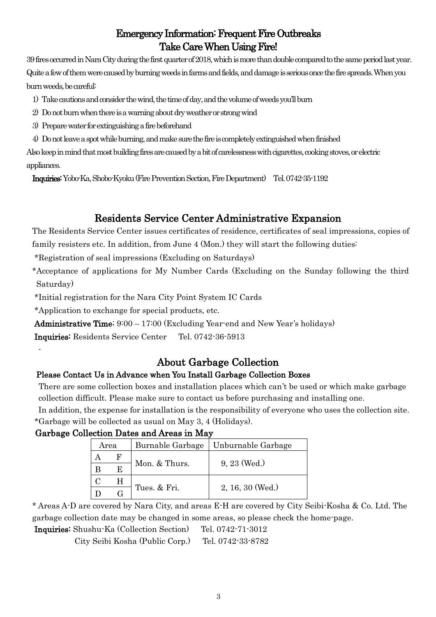# Emergency Information: Frequent Fire Outbreaks Take Care When Using Fire!

39 fires occurred in Nara City during the first quarter of 2018, which is more than double compared to the same period last year. Quite a few of them were caused by burning weeds in farms and fields, and damage is serious once the fire spreads. When you burn weeds, be careful:

- 1) Take cautions and consider thewind, thetime of day, and the volume of weedsyou'llburn
- 2) Do not burn when there is a warning about dry weather or strong wind
- 3) Prepare water for extinguishing a fire beforehand
- 4) Do not leave a spot while burning, and make sure the fire is completely extinguished when finished

Also keep in mind that most building fires are caused by a bit of carelessness with cigarettes, cooking stoves, or electric appliances.

Inquiries:Yobo-Ka, Shobo-Kyoku (Fire Prevention Section, Fire Department) Tel. 0742-35-1192

# Residents Service Center Administrative Expansion

The Residents Service Center issues certificates of residence, certificates of seal impressions, copies of family resisters etc. In addition, from June 4 (Mon.) they will start the following duties:

\*Registration of seal impressions (Excluding on Saturdays)

\*Acceptance of applications for My Number Cards (Excluding on the Sunday following the third Saturday)

\*Initial registration for the Nara City Point System IC Cards

\*Application to exchange for special products, etc.

-

Administrative Time; 9:00 – 17:00 (Excluding Year-end and New Year's holidays)

Inquiries: Residents Service Center Tel. 0742-36-5913

## About Garbage Collection

#### Please Contact Us in Advance when You Install Garbage Collection Boxes

 There are some collection boxes and installation places which can't be used or which make garbage collection difficult. Please make sure to contact us before purchasing and installing one.

 In addition, the expense for installation is the responsibility of everyone who uses the collection site. \*Garbage will be collected as usual on May 3, 4 (Holidays).

## Garbage Collection Dates and Areas in May

| Area | Burnable Garbage | Unburnable Garbage |  |
|------|------------------|--------------------|--|
|      |                  |                    |  |
|      | Mon. & Thurs.    | $9, 23$ (Wed.)     |  |
| н    |                  |                    |  |
|      | Tues. & Fri.     | $2, 16, 30$ (Wed.) |  |

\* Areas A-D are covered by Nara City, and areas E-H are covered by City Seibi-Kosha & Co. Ltd. The garbage collection date may be changed in some areas, so please check the home-page.

Inquiries: Shushu-Ka (Collection Section) Tel. 0742-71-3012

City Seibi Kosha (Public Corp.) Tel. 0742-33-8782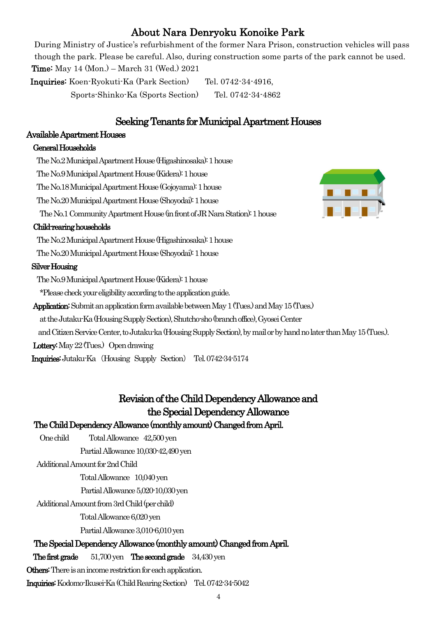# About Nara Denryoku Konoike Park

 During Ministry of Justice's refurbishment of the former Nara Prison, construction vehicles will pass though the park. Please be careful. Also, during construction some parts of the park cannot be used. Time: May 14 (Mon.) – March 31 (Wed.) 2021 Inquiries: Koen-Ryokuti-Ka (Park Section) Tel. 0742-34-4916,

Sports-Shinko-Ka (Sports Section) Tel. 0742-34-4862

## Seeking Tenants for Municipal Apartment Houses

#### Available Apartment Houses

#### General Households

The No.2 Municipal Apartment House (Higashinosaka): 1 house

The No.9Municipal Apartment House (Kidera): 1 house

The No.18 Municipal Apartment House (Gojoyama): 1 house

The No.20 Municipal Apartment House (Shoyodai): 1 house

The No.1Community Apartment House (in front of JR Nara Station): 1 house

#### Child-rearing households

The No.2 Municipal Apartment House (Higashinosaka): 1 house

The No.20Municipal Apartment House (Shoyodai): 1 house

#### Silver Housing

The No.9 Municipal Apartment House (Kidera): 1 house

\*Please check your eligibility according to the application guide.

Application: Submit an application form available between May 1 (Tues.) and May 15 (Tues.)

at the Jutaku-Ka (Housing Supply Section), Shutcho-sho (branch office), GyoseiCenter

and Citizen Service Center, to Jutaku-ka (Housing Supply Section),by mail or by hand no later than May 15 (Tues.).

Lottery: May 22 (Tues.) Open drawing

Inquiries:Jutaku-Ka (Housing Supply Section) Tel. 0742-34-5174

# Revision of the Child Dependency Allowance and the Special Dependency Allowance

## The Child Dependency Allowance (monthly amount) Changed from April.

One child Total Allowance 42,500 yen

Partial Allowance 10,030-42,490 yen

Additional Amount for 2nd Child

Total Allowance 10,040 yen

Partial Allowance 5,020-10,030 yen

Additional Amount from 3rd Child (per child)

Total Allowance 6,020 yen

Partial Allowance 3,010-6,010 yen

## The Special Dependency Allowance (monthly amount) Changed from April.

The first grade 51,700 yen The second grade 34,430 yen

Others: There is an income restriction for each application.

Inquiries: Kodomo-Ikusei-Ka (Child Rearing Section) Tel. 0742-34-5042

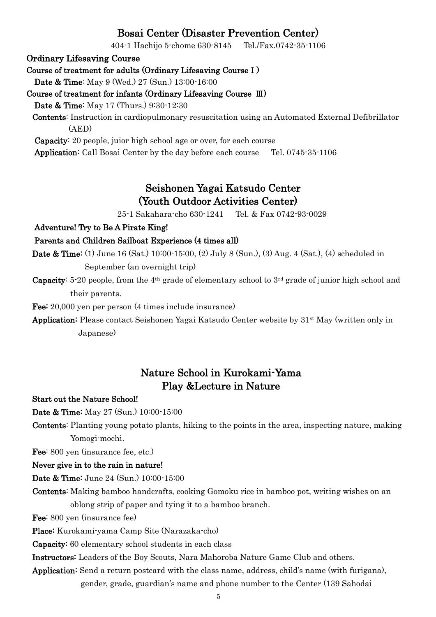## Bosai Center (Disaster Prevention Center)

404-1 Hachijo 5-chome 630-8145 Tel./Fax.0742-35-1106

Ordinary Lifesaving Course

Course of treatment for adults (Ordinary Lifesaving CourseⅠ)

Date & Time: May 9 (Wed.) 27 (Sun.) 13:00-16:00

Course of treatment for infants (Ordinary Lifesaving Course Ⅲ)

Date & Time: May 17 (Thurs.) 9:30-12:30

Contents: Instruction in cardiopulmonary resuscitation using an Automated External Defibrillator (AED)

Capacity: 20 people, juior high school age or over, for each course

Application: Call Bosai Center by the day before each course Tel. 0745-35-1106

## Seishonen Yagai Katsudo Center (Youth Outdoor Activities Center)

25-1 Sakahara-cho 630-1241 Tel. & Fax 0742-93-0029

Adventure! Try to Be A Pirate King!

#### Parents and Children Sailboat Experience (4 times all)

- Date & Time: (1) June 16 (Sat.) 10:00-15:00, (2) July 8 (Sun.), (3) Aug. 4 (Sat.), (4) scheduled in September (an overnight trip)
- **Capacity:** 5-20 people, from the 4<sup>th</sup> grade of elementary school to  $3<sup>rd</sup>$  grade of junior high school and their parents.

Fee: 20,000 yen per person (4 times include insurance)

Application: Please contact Seishonen Yagai Katsudo Center website by 31st May (written only in Japanese)

## Nature School in Kurokami-Yama Play &Lecture in Nature

Start out the Nature School!

Date & Time: May 27 (Sun.) 10:00-15:00

Contents: Planting young potato plants, hiking to the points in the area, inspecting nature, making Yomogi-mochi.

Fee: 800 yen (insurance fee, etc.)

#### Never give in to the rain in nature!

Date & Time: June 24 (Sun.) 10:00-15:00

Contents: Making bamboo handcrafts, cooking Gomoku rice in bamboo pot, writing wishes on an oblong strip of paper and tying it to a bamboo branch.

Fee: 800 yen (insurance fee)

Place: Kurokami-yama Camp Site (Narazaka-cho)

Capacity: 60 elementary school students in each class

Instructors: Leaders of the Boy Scouts, Nara Mahoroba Nature Game Club and others.

Application: Send a return postcard with the class name, address, child's name (with furigana), gender, grade, guardian's name and phone number to the Center (139 Sahodai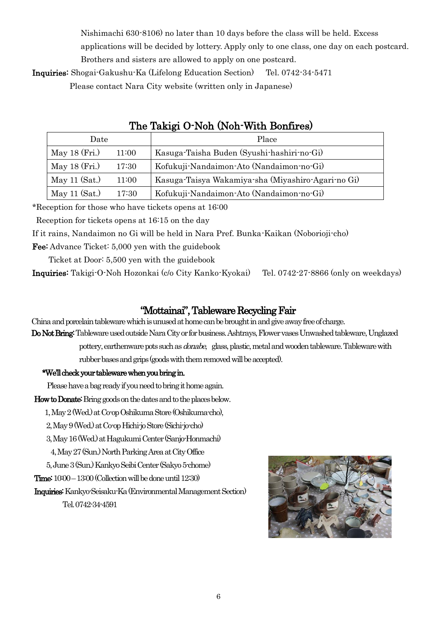Nishimachi 630-8106) no later than 10 days before the class will be held. Excess

applications will be decided by lottery. Apply only to one class, one day on each postcard. Brothers and sisters are allowed to apply on one postcard.

Inquiries: Shogai-Gakushu-Ka (Lifelong Education Section) Tel. 0742-34-5471

Please contact Nara City website (written only in Japanese)

| Date            |       | Place                                              |
|-----------------|-------|----------------------------------------------------|
| May $18$ (Fri.) | 11:00 | Kasuga-Taisha Buden (Syushi-hashiri-no-Gi)         |
| May $18$ (Fri.) | 17:30 | Kofukuji-Nandaimon-Ato (Nandaimon-no-Gi)           |
| May 11 $(Sat.)$ | 11:00 | Kasuga-Taisya Wakamiya-sha (Miyashiro-Agari-no Gi) |
| May $11$ (Sat.) | 17:30 | Kofukuji-Nandaimon-Ato (Nandaimon-no-Gi)           |

## The Takigi O-Noh (Noh-With Bonfires)

\*Reception for those who have tickets opens at 16:00

Reception for tickets opens at 16:15 on the day

If it rains, Nandaimon no Gi will be held in Nara Pref. Bunka-Kaikan (Noborioji-cho)

Fee: Advance Ticket: 5,000 yen with the guidebook

Ticket at Door: 5,500 yen with the guidebook

Inquiries: Takigi-O-Noh Hozonkai (c/o City Kanko-Kyokai) Tel. 0742-27-8866 (only on weekdays)

## "Mottainai", Tableware Recycling Fair

China and porcelain tableware which is unused at home can be brought in and give away free of charge.

Do Not Bring: Tableware used outside Nara Cityor for business. Ashtrays, Flower vases Unwashed tableware, Unglazed

pottery, earthenware pots such as *donabe*, glass, plastic, metal and wooden tableware. Tableware with rubber bases and grips (goods with them removed will be accepted).

#### \*We'll check your tableware when you bring in.

Please have a bag ready if you need to bring it home again.

How to Donate: Bring goods on the dates and to the places below.

1, May 2 (Wed.) at Co-op Oshikuma Store (Oshikuma-cho),

2, May 9 (Wed.) at Co-op Hichi-jo Store (Sichi-jo-cho)

3, May 16 (Wed.) at Hagukumi Center (Sanjo-Honmachi)

4, May 27(Sun.) North Parking Area at City Office

5, June 3 (Sun.) Kankyo Seibi Center (Sakyo 5-chome)

Time: 10:00 –13:00 (Collection will be done until 12:30)

 Inquiries: Kankyo-Seisaku-Ka (Environmental Management Section) Tel. 0742-34-4591

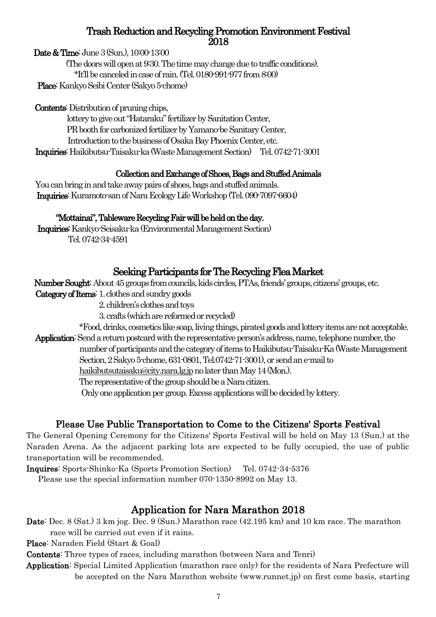#### Trash Reduction and Recycling Promotion Environment Festival 2018

Date & Time: June 3 (Sun.), 10:00-13:00

 (The doors will open at 9:30. The time may change due to traffic conditions). \*It'll be canceled in case of rain. (Tel. 0180-991-977 from 8:00) Place: Kankyo Seibi Center (Sakyo 5-chome)

Contents: Distribution of pruning chips,

 lottery to give out "Hataraku" fertilizer by Sanitation Center, PR booth for carbonized fertilizer by Yamano-be Sanitary Center, Introduction to the business of Osaka Bay Phoenix Center, etc. Inquiries: Haikibutsu-Taisaku-ka (Waste Management Section) Tel. 0742-71-3001

## Collection and Exchange of Shoes, Bags and Stuffed Animals

 You can bring in and take away pairs of shoes, bags and stuffed animals. Inquiries: Kuramoto-san of Nara Ecology Life Workshop (Tel. 090-7097-6604)

## "Mottainai", Tableware Recycling Fair will be held on the day.

Inquiries: Kankyo-Seisaku-ka (Environmental Management Section) Tel. 0742-34-4591

## Seeking Participants for The Recycling Flea Market

Number Sought: About 45 groups from councils, kids circles, PTAs, friends' groups, citizens' groups, etc.

Category of Items: 1. clothes and sundry goods

2. children's clothes and toys

3. crafts (which are reformed or recycled)

 \*Food, drinks, cosmetics like soap, living things,pirated goods and lottery items are not acceptable. Application: Send a return postcard with the representative person's address, name, telephone number, the number of participants and the category of items to Haikibutsu-Taisaku-Ka(Waste Management Section, 2 Sakyo 5-chome, 631-0801, Tel.0742-71-3001), or send an e-mail to

[haikibutsutaisaku@city.nara.lg.jp](mailto:haikibutsutaisaku@city.nara.lg.jp) no later than May 14 (Mon.).

The representative of the group should be a Nara citizen.

Only one application per group. Excess applications will be decided by lottery.

## Please Use Public Transportation to Come to the Citizens' Sports Festival

The General Opening Ceremony for the Citizens' Sports Festival will be held on May 13 (Sun.) at the Naraden Arena. As the adjacent parking lots are expected to be fully occupied, the use of public transportation will be recommended.

Inquires: Sports-Shinko-Ka (Sports Promotion Section) Tel. 0742-34-5376

Please use the special information number 070-1350-8992 on May 13.

# Application for Nara Marathon 2018

Date: Dec. 8 (Sat.) 3 km jog. Dec. 9 (Sun.) Marathon race (42.195 km) and 10 km race. The marathon race will be carried out even if it rains.

Place: Naraden Field (Start & Goal)

Contents: Three types of races, including marathon (between Nara and Tenri)

Application: Special Limited Application (marathon race only) for the residents of Nara Prefecture will be accepted on the Nara Marathon website (www.runnet.jp) on first come basis, starting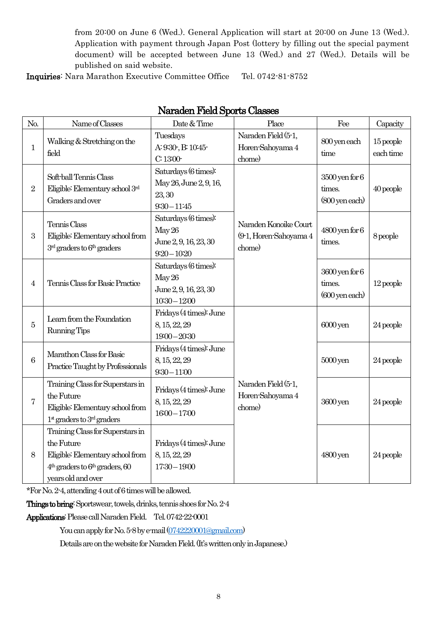from 20:00 on June 6 (Wed.). General Application will start at 20:00 on June 13 (Wed.). Application with payment through Japan Post (lottery by filling out the special payment document) will be accepted between June 13 (Wed.) and 27 (Wed.). Details will be published on said website.

Inquiries: Nara Marathon Executive Committee Office Tel. 0742-81-8752

| No.            | Date & Time<br>Name of Classes                                                                                                                 |                                                                            | Place                                                     | Fee                                                       | Capacity               |
|----------------|------------------------------------------------------------------------------------------------------------------------------------------------|----------------------------------------------------------------------------|-----------------------------------------------------------|-----------------------------------------------------------|------------------------|
| $\mathbf{1}$   | Walking & Stretching on the<br>field                                                                                                           | Tuesdays<br>A: 9:30-, B: 10:45-<br>C:13:00                                 | Naraden Field (5-1,<br>Horen-Sahoyama 4<br>chome)         | 800 yen each<br>time                                      | 15 people<br>each time |
| $\overline{2}$ | Soft-ball Tennis Class<br>Eligible: Elementary school 3rd<br>Graders and over                                                                  | Saturdays (6 times):<br>May 26, June 2, 9, 16,<br>23, 30<br>$9:30 - 11:45$ |                                                           | $3500$ yen for $6$<br>times.<br>$(800 \,\text{yen each})$ | 40 people              |
| 3              | Tennis Class<br>Eligible: Elementary school from<br>$3rd$ graders to $6th$ graders                                                             | Saturdays (6 times):<br>May 26<br>June 2, 9, 16, 23, 30<br>$9:20 - 10:20$  | Naraden Konoike Court<br>(9-1, Horen-Sahoyama 4<br>chome) | $4800$ yen for $6$<br>times.                              | 8 people               |
| 4              | Tennis Class for Basic Practice                                                                                                                | Saturdays (6 times):<br>May 26<br>June 2, 9, 16, 23, 30<br>$10:30 - 12:00$ |                                                           | $3600$ yen for $6$<br>times.<br>$(600 \text{ yen each})$  | $12$ people            |
| 5              | Learn from the Foundation<br>Running Tips                                                                                                      | Fridays (4 times): June<br>8, 15, 22, 29<br>$19:00 - 20:30$                |                                                           | 6000 yen                                                  | 24 people              |
| 6              | Marathon Class for Basic<br>Practice Taught by Professionals                                                                                   | Fridays (4 times): June<br>8, 15, 22, 29<br>$9:30 - 11:00$                 |                                                           | $5000 \,\mathrm{yen}$                                     | 24 people              |
| 7              | Training Class for Superstars in<br>the Future<br>Eligible: Elementary school from<br>$1st$ graders to $3nd$ graders                           | Fridays (4 times): June<br>8, 15, 22, 29<br>$1600 - 1700$                  | Naraden Field (5-1,<br>Horen-Sahoyama 4<br>chome)         | 3600 yen                                                  | 24 people              |
| 8              | Training Class for Superstars in<br>the Future<br>Eligible: Elementary school from<br>$4th$ graders to $6th$ graders, 60<br>years old and over | Fridays (4 times): June<br>8, 15, 22, 29<br>$17:30 - 19:00$                |                                                           | 4800 yen                                                  | 24 people              |

#### Naraden Field Sports Classes

\*For No. 2-4, attending 4 out of 6 times will be allowed.

Things to bring: Sportswear, towels, drinks, tennis shoes for No. 2-4

Applications: Please callNaraden Field. Tel. 0742-22-0001

You can apply for No. 5-8 by e-mail [\(0742220001@gmail.com\)](mailto:0742220001@gmail.com)

Details are on the website for Naraden Field. (It's written only in Japanese.)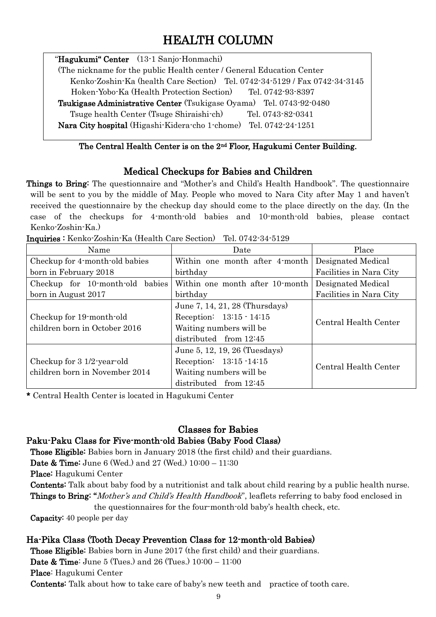# HEALTH COLUMN

"Hagukumi" Center (13-1 Sanjo-Honmachi) (The nickname for the public Health center / General Education Center Kenko-Zoshin-Ka (health Care Section) Tel. 0742-34-5129 / Fax 0742-34-3145 Hoken-Yobo-Ka (Health Protection Section) Tel. 0742-93-8397 Tsukigase Administrative Center (Tsukigase Oyama) Tel. 0743-92-0480 Tsuge health Center (Tsuge Shiraishi-ch) Tel. 0743-82-0341 Nara City hospital (Higashi-Kidera-cho 1-chome) Tel. 0742-24-1251

#### The Central Health Center is on the 2nd Floor, Hagukumi Center Building.

## Medical Checkups for Babies and Children

Things to Bring: The questionnaire and "Mother's and Child's Health Handbook". The questionnaire will be sent to you by the middle of May. People who moved to Nara City after May 1 and haven't received the questionnaire by the checkup day should come to the place directly on the day. (In the case of the checkups for 4-month-old babies and 10-month-old babies, please contact Kenko-Zoshin-Ka.)

| Name                                                         | Date                                                                                                              | Place                   |
|--------------------------------------------------------------|-------------------------------------------------------------------------------------------------------------------|-------------------------|
| Checkup for 4-month-old babies                               | Within one month after 4-month                                                                                    | Designated Medical      |
| born in February 2018                                        | birthday                                                                                                          | Facilities in Nara City |
| Checkup for 10-month-old<br>babies                           | Within one month after 10-month                                                                                   | Designated Medical      |
| born in August 2017                                          | birthday                                                                                                          | Facilities in Nara City |
| Checkup for 19-month-old<br>children born in October 2016    | June 7, 14, 21, 28 (Thursdays)<br>Reception: 13:15 - 14:15<br>Waiting numbers will be<br>distributed from $12:45$ | Central Health Center   |
| Checkup for 3 1/2-year-old<br>children born in November 2014 | June 5, 12, 19, 26 (Tuesdays)<br>Reception: 13:15 -14:15<br>Waiting numbers will be<br>distributed from $12:45$   | Central Health Center   |

Inquiries : Kenko-Zoshin-Ka (Health Care Section) Tel. 0742-34-5129

\* Central Health Center is located in Hagukumi Center

# Classes for Babies

## Paku-Paku Class for Five-month-old Babies (Baby Food Class)

Those Eligible: Babies born in January 2018 (the first child) and their guardians.

Date & Time: June 6 (Wed.) and 27 (Wed.) 10:00 – 11:30

Place: Hagukumi Center

Contents: Talk about baby food by a nutritionist and talk about child rearing by a public health nurse. Things to Bring: "Mother's and Child's Health Handbook", leaflets referring to baby food enclosed in

the questionnaires for the four-month-old baby's health check, etc.

Capacity: 40 people per day

## Ha-Pika Class (Tooth Decay Prevention Class for 12-month-old Babies)

 Those Eligible: Babies born in June 2017 (the first child) and their guardians. Date & Time: June 5 (Tues.) and 26 (Tues.) 10:00 – 11:00 Place: Hagukumi Center Contents: Talk about how to take care of baby's new teeth and practice of tooth care.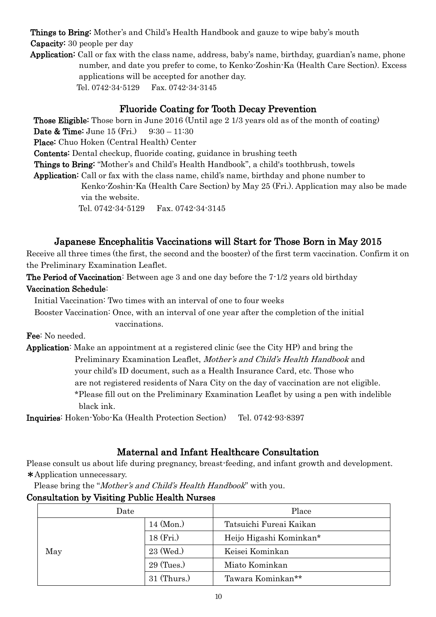Things to Bring: Mother's and Child's Health Handbook and gauze to wipe baby's mouth

 Capacity: 30 people per day Application: Call or fax with the class name, address, baby's name, birthday, guardian's name, phone number, and date you prefer to come, to Kenko-Zoshin-Ka (Health Care Section). Excess

applications will be accepted for another day. Tel. 0742-34-5129 Fax. 0742-34-3145

## Fluoride Coating for Tooth Decay Prevention

Those Eligible: Those born in June 2016 (Until age 2 1/3 years old as of the month of coating) **Date & Time:** June  $15$  (Fri.)  $9:30 - 11:30$ Place: Chuo Hoken (Central Health) Center Contents: Dental checkup, fluoride coating, guidance in brushing teeth Things to Bring: "Mother's and Child's Health Handbook", a child's toothbrush, towels Application: Call or fax with the class name, child's name, birthday and phone number to Kenko-Zoshin-Ka (Health Care Section) by May 25 (Fri.). Application may also be made via the website. Tel. 0742-34-5129 Fax. 0742-34-3145

## Japanese Encephalitis Vaccinations will Start for Those Born in May 2015

Receive all three times (the first, the second and the booster) of the first term vaccination. Confirm it on the Preliminary Examination Leaflet.

The Period of Vaccination: Between age 3 and one day before the 7-1/2 years old birthday Vaccination Schedule:

Initial Vaccination: Two times with an interval of one to four weeks

 Booster Vaccination: Once, with an interval of one year after the completion of the initial vaccinations.

Fee: No needed.

Application: Make an appointment at a registered clinic (see the City HP) and bring the Preliminary Examination Leaflet, Mother's and Child's Health Handbook and your child's ID document, such as a Health Insurance Card, etc. Those who are not registered residents of Nara City on the day of vaccination are not eligible. \*Please fill out on the Preliminary Examination Leaflet by using a pen with indelible black ink.

Inquiries: Hoken-Yobo-Ka (Health Protection Section) Tel. 0742-93-8397

## Maternal and Infant Healthcare Consultation

Please consult us about life during pregnancy, breast-feeding, and infant growth and development. \*Application unnecessary.

Please bring the "Mother's and Child's Health Handbook" with you.

## Consultation by Visiting Public Health Nurses

| Date |                | Place                   |
|------|----------------|-------------------------|
|      | $14 \, (Mon.)$ | Tatsuichi Fureai Kaikan |
|      | 18 (Fri.)      | Heijo Higashi Kominkan* |
| May  | 23 (Wed.)      | Keisei Kominkan         |
|      | $29$ (Tues.)   | Miato Kominkan          |
|      | $31$ (Thurs.)  | Tawara Kominkan**       |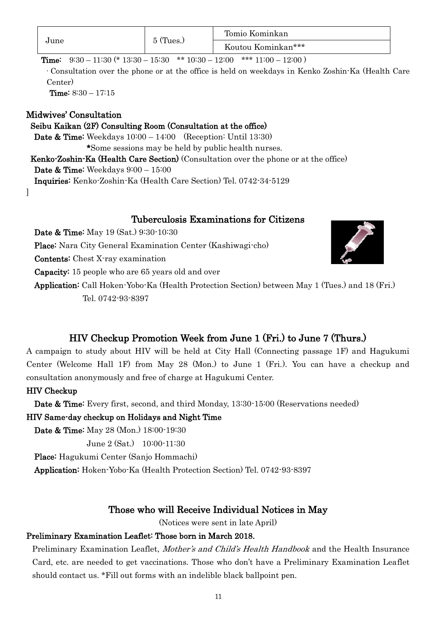|      | $\leq$ (Tues.) | Tomio Kominkan     |
|------|----------------|--------------------|
| June |                | Koutou Kominkan*** |

**Time:**  $9:30 - 11:30$  (\*  $13:30 - 15:30$  \*\*  $10:30 - 12:00$  \*\*\*  $11:00 - 12:00$ )

·Consultation over the phone or at the office is held on weekdays in Kenko Zoshin-Ka (Health Care Center)

Time: 8:30 – 17:15

#### Midwives' Consultation

]

#### Seibu Kaikan (2F) Consulting Room (Consultation at the office)

Date & Time: Weekdays 10:00 – 14:00 (Reception: Until 13:30)

\*Some sessions may be held by public health nurses.

Kenko-Zoshin-Ka (Health Care Section) (Consultation over the phone or at the office)

Date & Time: Weekdays 9:00 – 15:00

Inquiries: Kenko-Zoshin-Ka (Health Care Section) Tel. 0742-34-5129

#### Tuberculosis Examinations for Citizens

Date & Time: May 19 (Sat.) 9:30-10:30 Place: Nara City General Examination Center (Kashiwagi-cho) Contents: Chest X-ray examination Capacity: 15 people who are 65 years old and over Application: Call Hoken-Yobo-Ka (Health Protection Section) between May 1 (Tues.) and 18 (Fri.) Tel. 0742-93-8397

# HIV Checkup Promotion Week from June 1 (Fri.) to June 7 (Thurs.)

A campaign to study about HIV will be held at City Hall (Connecting passage 1F) and Hagukumi Center (Welcome Hall 1F) from May 28 (Mon.) to June 1 (Fri.). You can have a checkup and consultation anonymously and free of charge at Hagukumi Center.

#### HIV Checkup

Date & Time: Every first, second, and third Monday, 13:30-15:00 (Reservations needed)

#### HIV Same-day checkup on Holidays and Night Time

Date & Time: May 28 (Mon.) 18:00-19:30

June 2 (Sat.) 10:00-11:30

Place: Hagukumi Center (Sanjo Hommachi)

Application: Hoken-Yobo-Ka (Health Protection Section) Tel. 0742-93-8397

## Those who will Receive Individual Notices in May

(Notices were sent in late April)

#### Preliminary Examination Leaflet: Those born in March 2018.

Preliminary Examination Leaflet, *Mother's and Child's Health Handbook* and the Health Insurance Card, etc. are needed to get vaccinations. Those who don't have a Preliminary Examination Leaflet should contact us. \*Fill out forms with an indelible black ballpoint pen.

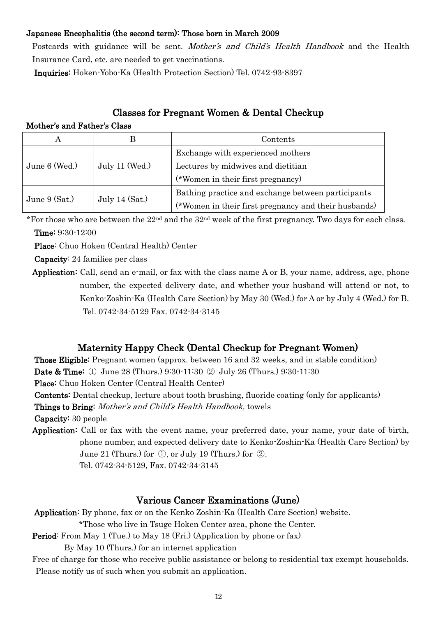#### Japanese Encephalitis (the second term): Those born in March 2009

Postcards with guidance will be sent. Mother's and Child's Health Handbook and the Health Insurance Card, etc. are needed to get vaccinations.

Inquiries: Hoken-Yobo-Ka (Health Protection Section) Tel. 0742-93-8397

#### Classes for Pregnant Women & Dental Checkup

Mother's and Father's Class

|                 |                  | Contents                                             |
|-----------------|------------------|------------------------------------------------------|
|                 |                  | Exchange with experienced mothers                    |
| June $6$ (Wed.) | July 11 (Wed.)   | Lectures by midwives and dietitian                   |
|                 |                  | (*Women in their first pregnancy)                    |
|                 |                  | Bathing practice and exchange between participants   |
| June $9$ (Sat.) | July 14 $(Sat.)$ | (*Women in their first pregnancy and their husbands) |

\*For those who are between the 22nd and the 32nd week of the first pregnancy. Two days for each class. Time: 9:30-12:00

Place: Chuo Hoken (Central Health) Center

Capacity: 24 families per class

Application: Call, send an e-mail, or fax with the class name A or B, your name, address, age, phone number, the expected delivery date, and whether your husband will attend or not, to Kenko-Zoshin-Ka (Health Care Section) by May 30 (Wed.) for A or by July 4 (Wed.) for B. Tel. 0742-34-5129 Fax. 0742-34-3145

#### Maternity Happy Check (Dental Checkup for Pregnant Women)

Those Eligible: Pregnant women (approx. between 16 and 32 weeks, and in stable condition) Date & Time: ① June 28 (Thurs.) 9:30-11:30 ② July 26 (Thurs.) 9:30-11:30

Place: Chuo Hoken Center (Central Health Center)

Contents: Dental checkup, lecture about tooth brushing, fluoride coating (only for applicants)

Things to Bring: Mother's and Child's Health Handbook, towels

Capacity: 30 people

Application: Call or fax with the event name, your preferred date, your name, your date of birth, phone number, and expected delivery date to Kenko-Zoshin-Ka (Health Care Section) by June 21 (Thurs.) for ①, or July 19 (Thurs.) for ②. Tel. 0742-34-5129, Fax. 0742-34-3145

#### Various Cancer Examinations (June)

Application: By phone, fax or on the Kenko Zoshin-Ka (Health Care Section) website.

\*Those who live in Tsuge Hoken Center area, phone the Center.

Period: From May 1 (Tue.) to May 18 (Fri.) (Application by phone or fax)

By May 10 (Thurs.) for an internet application

Free of charge for those who receive public assistance or belong to residential tax exempt households. Please notify us of such when you submit an application.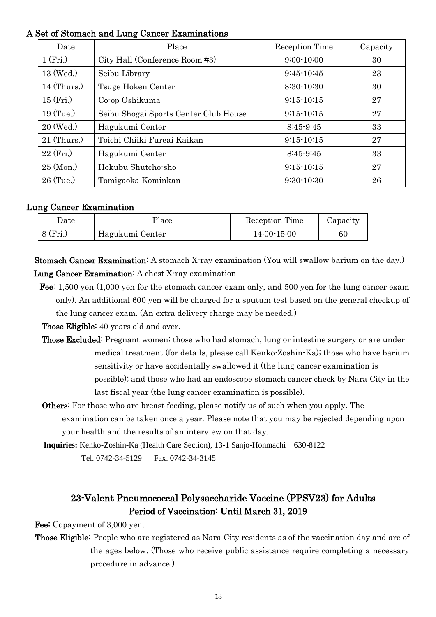#### A Set of Stomach and Lung Cancer Examinations

| Date           | Place                                 | Reception Time | Capacity |
|----------------|---------------------------------------|----------------|----------|
| 1(Fri.)        | City Hall (Conference Room #3)        | $9:00 - 10:00$ | 30       |
| 13 (Wed.)      | Seibu Library                         | $9:45-10:45$   | 23       |
| $14$ (Thurs.)  | Tsuge Hoken Center                    | $8:30-10:30$   | 30       |
| $15$ (Fri.)    | Co-op Oshikuma                        | $9:15-10:15$   | 27       |
| $19$ (Tue.)    | Seibu Shogai Sports Center Club House | $9:15-10:15$   | 27       |
| 20 (Wed.)      | Hagukumi Center                       | $8:45-9:45$    | 33       |
| $21$ (Thurs.)  | Toichi Chiiki Fureai Kaikan           | $9:15-10:15$   | 27       |
| $22$ (Fri.)    | Hagukumi Center                       | $8:45-9:45$    | 33       |
| $25 \, (Mon.)$ | Hokubu Shutcho-sho                    | $9:15-10:15$   | 27       |
| $26$ (Tue.)    | Tomigaoka Kominkan                    | $9:30-10:30$   | 26       |

#### Lung Cancer Examination

| Date     | Place           | Reception Time | Capacity |
|----------|-----------------|----------------|----------|
| 8 (Fri.) | Hagukumi Center | 14:00-15:00    | 60       |

Stomach Cancer Examination: A stomach X-ray examination (You will swallow barium on the day.) Lung Cancer Examination: A chest X-ray examination

Fee: 1,500 yen (1,000 yen for the stomach cancer exam only, and 500 yen for the lung cancer exam only). An additional 600 yen will be charged for a sputum test based on the general checkup of the lung cancer exam. (An extra delivery charge may be needed.)

Those Eligible: 40 years old and over.

- Those Excluded: Pregnant women; those who had stomach, lung or intestine surgery or are under medical treatment (for details, please call Kenko-Zoshin-Ka); those who have barium sensitivity or have accidentally swallowed it (the lung cancer examination is possible); and those who had an endoscope stomach cancer check by Nara City in the last fiscal year (the lung cancer examination is possible).
- Others: For those who are breast feeding, please notify us of such when you apply. The examination can be taken once a year. Please note that you may be rejected depending upon your health and the results of an interview on that day.

**Inquiries:** Kenko-Zoshin-Ka (Health Care Section), 13-1 Sanjo-Honmachi 630-8122

Tel. 0742-34-5129 Fax. 0742-34-3145

## 23-Valent Pneumococcal Polysaccharide Vaccine (PPSV23) for Adults Period of Vaccination: Until March 31, 2019

Fee: Copayment of 3,000 yen.

Those Eligible: People who are registered as Nara City residents as of the vaccination day and are of the ages below. (Those who receive public assistance require completing a necessary procedure in advance.)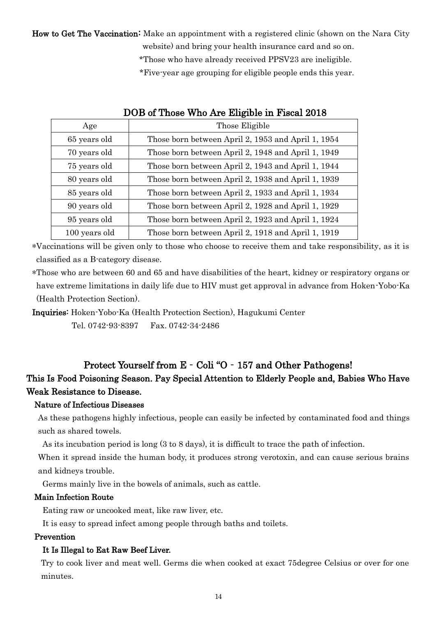How to Get The Vaccination: Make an appointment with a registered clinic (shown on the Nara City website) and bring your health insurance card and so on.

\*Those who have already received PPSV23 are ineligible.

\*Five-year age grouping for eligible people ends this year.

| Age           | Those Eligible                                     |
|---------------|----------------------------------------------------|
| 65 years old  | Those born between April 2, 1953 and April 1, 1954 |
| 70 years old  | Those born between April 2, 1948 and April 1, 1949 |
| 75 years old  | Those born between April 2, 1943 and April 1, 1944 |
| 80 years old  | Those born between April 2, 1938 and April 1, 1939 |
| 85 years old  | Those born between April 2, 1933 and April 1, 1934 |
| 90 years old  | Those born between April 2, 1928 and April 1, 1929 |
| 95 years old  | Those born between April 2, 1923 and April 1, 1924 |
| 100 years old | Those born between April 2, 1918 and April 1, 1919 |

#### DOB of Those Who Are Eligible in Fiscal 2018

\*Vaccinations will be given only to those who choose to receive them and take responsibility, as it is classified as a B-category disease.

\*Those who are between 60 and 65 and have disabilities of the heart, kidney or respiratory organs or have extreme limitations in daily life due to HIV must get approval in advance from Hoken-Yobo-Ka (Health Protection Section).

Inquiries: Hoken-Yobo-Ka (Health Protection Section), Hagukumi Center Tel. 0742-93-8397 Fax. 0742-34-2486

#### Protect Yourself from E - Coli "O - 157 and Other Pathogens!

## This Is Food Poisoning Season. Pay Special Attention to Elderly People and, Babies Who Have Weak Resistance to Disease.

#### Nature of Infectious Diseases

As these pathogens highly infectious, people can easily be infected by contaminated food and things such as shared towels.

As its incubation period is long (3 to 8 days), it is difficult to trace the path of infection.

When it spread inside the human body, it produces strong verotoxin, and can cause serious brains and kidneys trouble.

Germs mainly live in the bowels of animals, such as cattle.

#### Main Infection Route

Eating raw or uncooked meat, like raw liver, etc.

It is easy to spread infect among people through baths and toilets.

#### Prevention

#### It Is Illegal to Eat Raw Beef Liver.

Try to cook liver and meat well. Germs die when cooked at exact 75degree Celsius or over for one minutes.